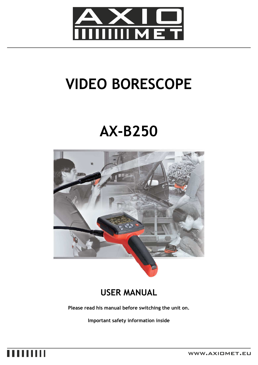

# **VIDEO BORESCOPE**

## **AX-B250**



### **USER MANUAL**

**Please read his manual before switching the unit on.** 

**Important safety information inside** 

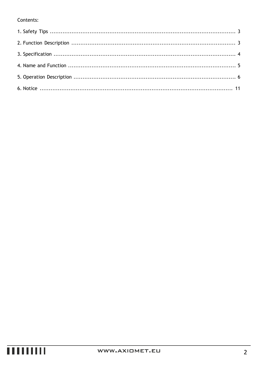#### Contents: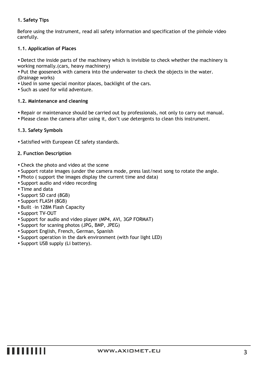#### **1. Safety Tips**

Before using the instrument, read all safety information and specification of the pinhole video carefully.

#### **1.1. Application of Places**

• Detect the inside parts of the machinery which is invisible to check whether the machinery is working normally.(cars, heavy machinery)

• Put the gooseneck with camera into the underwater to check the objects in the water. (Drainage works)

• Used in some special monitor places, backlight of the cars.

• Such as used for wild adventure.

#### **1.2. Maintenance and cleaning**

- Repair or maintenance should be carried out by professionals, not only to carry out manual.
- Please clean the camera after using it, don't use detergents to clean this instrument.

#### **1.3. Safety Symbols**

• Satisfied with European CE safety standards.

#### **2. Function Description**

- Check the photo and video at the scene
- Support rotate images (under the camera mode, press last/next song to rotate the angle.
- Photo ( support the images display the current time and data)
- Support audio and video recording
- Time and data
- Support SD card (8GB)
- Support FLASH (8GB)
- Built –in 128M Flash Capacity
- Support TV-OUT
- Support for audio and video player (MP4, AVI, 3GP FORMAT)
- Support for scaning photos (JPG, BMP, JPEG)
- Support English, French, German, Spanish
- Support operation in the dark environment (with four light LED)
- Support USB supply (Li battery).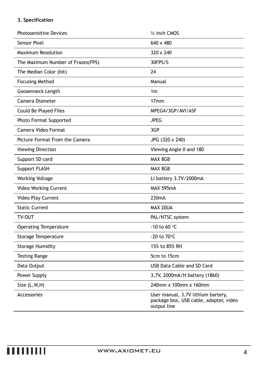### **3. Specification**

| <b>Photosensitive Devices</b>     | 1/4 inch CMOS                                                                               |
|-----------------------------------|---------------------------------------------------------------------------------------------|
| Sensor Pixel                      | 640 x 480                                                                                   |
| <b>Maximum Resolution</b>         | 320 x 240                                                                                   |
| The Maximum Number of Frazes(FPS) | 30FPS/S                                                                                     |
| The Median Color (bit)            | 24                                                                                          |
| <b>Focusing Method</b>            | Manual                                                                                      |
| Goosenneck Length                 | 1 <sub>m</sub>                                                                              |
| Camera Diameter                   | 17 <sub>mm</sub>                                                                            |
| Could Be Played Files             | MPEG4/3GP/AVI/ASF                                                                           |
| Photo Format Supported            | <b>JPEG</b>                                                                                 |
| Camera Video Format               | 3GP                                                                                         |
| Picture Format From the Camera    | JPG (320 x 240)                                                                             |
| Viewing Direction                 | Viewing Angle 0 and 180                                                                     |
| Support SD card                   | MAX 8GB                                                                                     |
| Support FLASH                     | MAX 8GB                                                                                     |
| Working Voltage                   | Li battery 3.7V/2000mA                                                                      |
| <b>Video Working Current</b>      | <b>MAX 595mA</b>                                                                            |
| Video Play Current                | 230mA                                                                                       |
| <b>Static Current</b>             | MAX 20UA                                                                                    |
| TV-OUT                            | PAL/NTSC system                                                                             |
| <b>Operating Temperature</b>      | -10 to 60 $\degree$ C                                                                       |
| <b>Storage Temperature</b>        | -20 to 70°C                                                                                 |
| <b>Storage Humidity</b>           | 15% to 85% RH                                                                               |
| <b>Testing Range</b>              | 5cm to 15cm                                                                                 |
| Data Output                       | USB Data Cable and SD Card                                                                  |
| Power Supply                      | 3,7V, 2000mA/H battery (1860)                                                               |
| Size (L, W, H)                    | 240mm x 100mm x 160mm                                                                       |
| Accessories                       | User manual, 3.7V lithium bartery,<br>package box, USB cable, adapter, video<br>output line |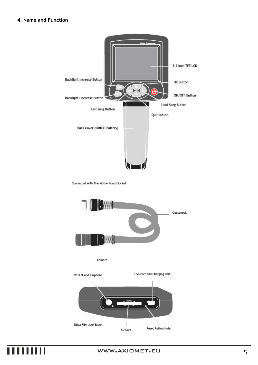#### **4. Name and Function**



### ШШ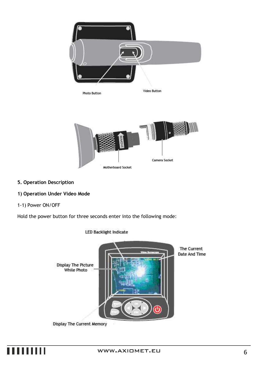

#### **5. Operation Description**

#### **1) Operation Under Video Mode**

#### 1-1) Power ON/OFF

Hold the power button for three seconds enter into the following mode:



**LED Backlight Indicate** 

Display The Current Memory

## . . . . . . . .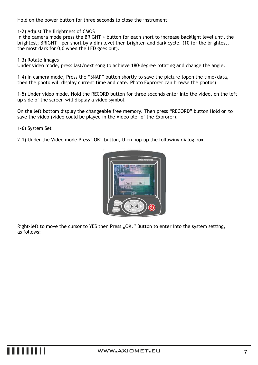Hold on the power button for three seconds to close the instrument.

1-2) Adjust The Brightness of CMOS

In the camera mode press the BRIGHT + button for each short to increase backlight level until the brightest; BRIGHT – per short by a dim level then brighten and dark cycle. (10 for the brightest, the most dark for 0,0 when the LED goes out).

1-3) Rotate Images

Under video mode, press last/next song to achieve 180-degree rotating and change the angle.

1-4) In camera mode, Press the "SNAP" button shortly to save the picture (open the time/data, then the photo will display current time and date. Photo Exprorer can browse the photos)

1-5) Under video mode, Hold the RECORD button for three seconds enter into the video, on the left up side of the screen will display a video symbol.

On the left bottom display the changeable free memory. Then press "RECORD" button Hold on to save the video (video could be played in the Video pler of the Exprorer).

1-6) System Set

2-1) Under the Video mode Press "OK" button, then pop-up the following dialog box.



Right-left to move the cursor to YES then Press "OK." Button to enter into the system setting, as follows: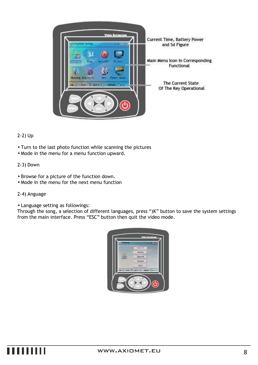

#### 2-2) Up

- Turn to the last photo function while scanning the pictures
- Mode in the menu for a menu function upward.

#### 2-3) Down

- Browse for a picture of the function down.
- Mode in the menu for the next menu function

#### 2-4) Anguage

• Language setting as followings:

Through the song, a selection of different languages, press ")K" button to save the system settings from the main interface. Press "ESC" button then quit the video mode.

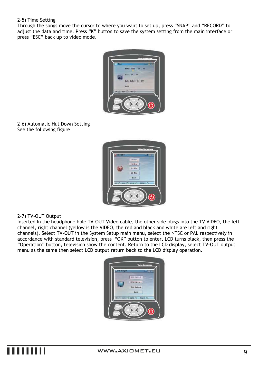#### 2-5) Time Setting

Through the songs move the cursor to where you want to set up, press "SNAP" and "RECORD" to adjust the data and time. Press "K" button to save the system setting from the main interface or press "ESC" back up to video mode.



#### 2-6) Automatic Hut Down Setting See the following figure



#### 2-7) TV-OUT Output

Inserted In the headphone hole TV-OUT Video cable, the other side plugs into the TV VIDEO, the left channel, right channel (yellow is the VIDEO, the red and black and white are left and right channels). Select TV-OUT in the System Setup main menu, select the NTSC or PAL respectively in accordance with standard television, press "OK" button to enter, LCD turns black, then press the "Operation" button, television show the content. Return to the LCD display, select TV-OUT output menu as the same then select LCD output return back to the LCD display operation.

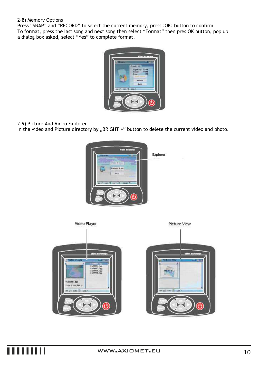#### 2-8) Memory Options

Press "SNAP" and "RECORD" to select the current memory, press :OK: button to confirm. To format, press the last song and next song then select "Format" then pres OK button, pop up a dialog box asked, select "Yes" to complete format.



2-9) Picture And Video Explorer

In the video and Picture directory by "BRIGHT +" button to delete the current video and photo.